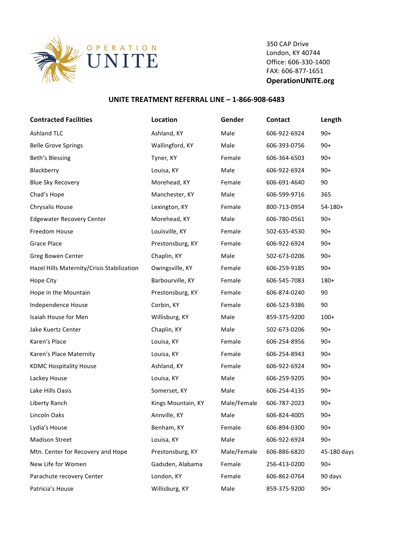

350 CAP Drive London, KY 40744 Office: 606-330-1400 FAX: 606-877-1651 **OperationUNITE.org**

## **UNITE TREATMENT REFERRAL LINE - 1-866-908-6483**

| <b>Contracted Facilities</b>               | Location           | Gender      | <b>Contact</b> | Length      |
|--------------------------------------------|--------------------|-------------|----------------|-------------|
| <b>Ashland TLC</b>                         | Ashland, KY        | Male        | 606-922-6924   | $90+$       |
| <b>Belle Grove Springs</b>                 | Wallingford, KY    | Male        | 606-393-0756   | $90+$       |
| Beth's Blessing                            | Tyner, KY          | Female      | 606-364-6503   | $90+$       |
| Blackberry                                 | Louisa, KY         | Male        | 606-922-6924   | $90+$       |
| <b>Blue Sky Recovery</b>                   | Morehead, KY       | Female      | 606-691-4640   | 90          |
| Chad's Hope                                | Manchester, KY     | Male        | 606-599-9716   | 365         |
| Chrysalis House                            | Lexington, KY      | Female      | 800-713-0954   | $54-180+$   |
| <b>Edgewater Recovery Center</b>           | Morehead, KY       | Male        | 606-780-0561   | $90+$       |
| Freedom House                              | Louisville, KY     | Female      | 502-635-4530   | $90+$       |
| <b>Grace Place</b>                         | Prestonsburg, KY   | Female      | 606-922-6924   | $90+$       |
| Greg Bowen Center                          | Chaplin, KY        | Male        | 502-673-0206   | $90+$       |
| Hazel Hills Maternity/Crisis Stabilization | Owingsville, KY    | Female      | 606-259-9185   | $90+$       |
| Hope City                                  | Barbourville, KY   | Female      | 606-545-7083   | 180+        |
| Hope in the Mountain                       | Prestonsburg, KY   | Female      | 606-874-0240   | 90          |
| Independence House                         | Corbin, KY         | Female      | 606-523-9386   | 90          |
| Isaiah House for Men                       | Willisburg, KY     | Male        | 859-375-9200   | $100+$      |
| Jake Kuertz Center                         | Chaplin, KY        | Male        | 502-673-0206   | $90+$       |
| Karen's Place                              | Louisa, KY         | Female      | 606-254-8956   | $90+$       |
| Karen's Place Maternity                    | Louisa, KY         | Female      | 606-254-8943   | $90+$       |
| <b>KDMC Hospitality House</b>              | Ashland, KY        | Female      | 606-922-6924   | $90+$       |
| Lackey House                               | Louisa, KY         | Male        | 606-259-9205   | $90+$       |
| Lake Hills Oasis                           | Somerset, KY       | Male        | 606-254-4135   | $90+$       |
| Liberty Ranch                              | Kings Mountain, KY | Male/Female | 606-787-2023   | $90+$       |
| Lincoln Oaks                               | Annville, KY       | Male        | 606-824-4005   | $90+$       |
| Lydia's House                              | Benham, KY         | Female      | 606-894-0300   | $90+$       |
| <b>Madison Street</b>                      | Louisa, KY         | Male        | 606-922-6924   | $90+$       |
| Mtn. Center for Recovery and Hope          | Prestonsburg, KY   | Male/Female | 606-886-6820   | 45-180 days |
| New Life for Women                         | Gadsden, Alabama   | Female      | 256-413-0200   | $90+$       |
| Parachute recovery Center                  | London, KY         | Female      | 606-862-0764   | 90 days     |
| Patricia's House                           | Willisburg, KY     | Male        | 859-375-9200   | $90+$       |